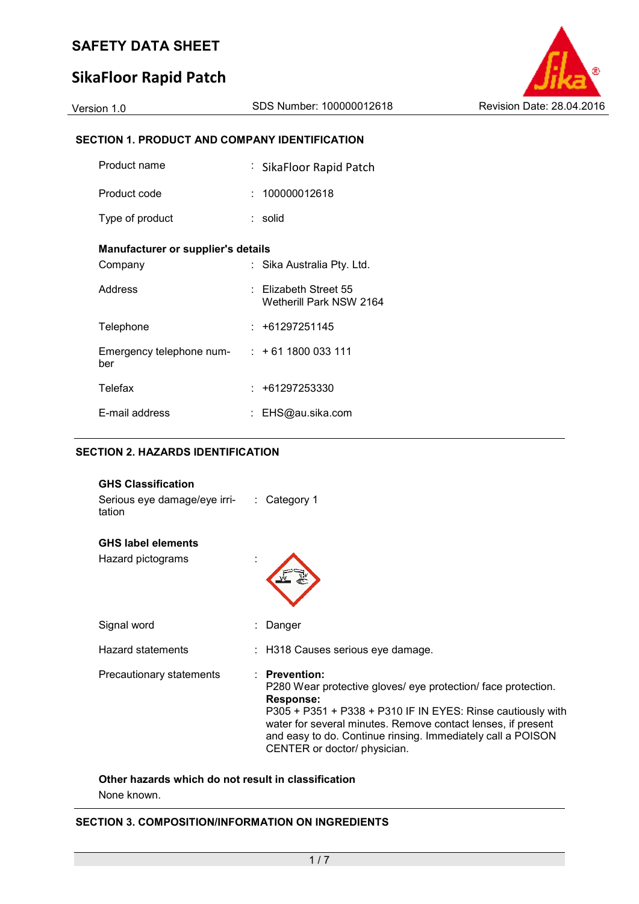## **SikaFloor Rapid Patch**

#### **SECTION 1. PRODUCT AND COMPANY IDENTIFICATION**

| Product name                       | : SikaFloor Rapid Patch                              |
|------------------------------------|------------------------------------------------------|
| Product code                       | : 100000012618                                       |
| Type of product                    | : solid                                              |
| Manufacturer or supplier's details |                                                      |
| Company                            | Sika Australia Pty. Ltd.                             |
| Address                            | $\pm$ Elizabeth Street 55<br>Wetherill Park NSW 2164 |
| Telephone                          | : +61297251145                                       |
| Emergency telephone num-<br>ber    | $: +611800033111$                                    |
| Telefax                            | : +61297253330                                       |
| E-mail address                     | EHS@au.sika.com                                      |

#### **SECTION 2. HAZARDS IDENTIFICATION**

| <b>GHS Classification</b><br>Serious eye damage/eye irri- : Category 1<br>tation |                                                                                                                                                                                                                                                                                                                                       |
|----------------------------------------------------------------------------------|---------------------------------------------------------------------------------------------------------------------------------------------------------------------------------------------------------------------------------------------------------------------------------------------------------------------------------------|
| <b>GHS label elements</b><br>Hazard pictograms                                   |                                                                                                                                                                                                                                                                                                                                       |
|                                                                                  |                                                                                                                                                                                                                                                                                                                                       |
| Signal word                                                                      | Danger                                                                                                                                                                                                                                                                                                                                |
| <b>Hazard statements</b>                                                         | : H318 Causes serious eye damage.                                                                                                                                                                                                                                                                                                     |
| Precautionary statements                                                         | <b>Prevention:</b><br>P280 Wear protective gloves/ eye protection/ face protection.<br><b>Response:</b><br>P305 + P351 + P338 + P310 IF IN EYES: Rinse cautiously with<br>water for several minutes. Remove contact lenses, if present<br>and easy to do. Continue rinsing. Immediately call a POISON<br>CENTER or doctor/ physician. |

#### **Other hazards which do not result in classification**

None known.

#### **SECTION 3. COMPOSITION/INFORMATION ON INGREDIENTS**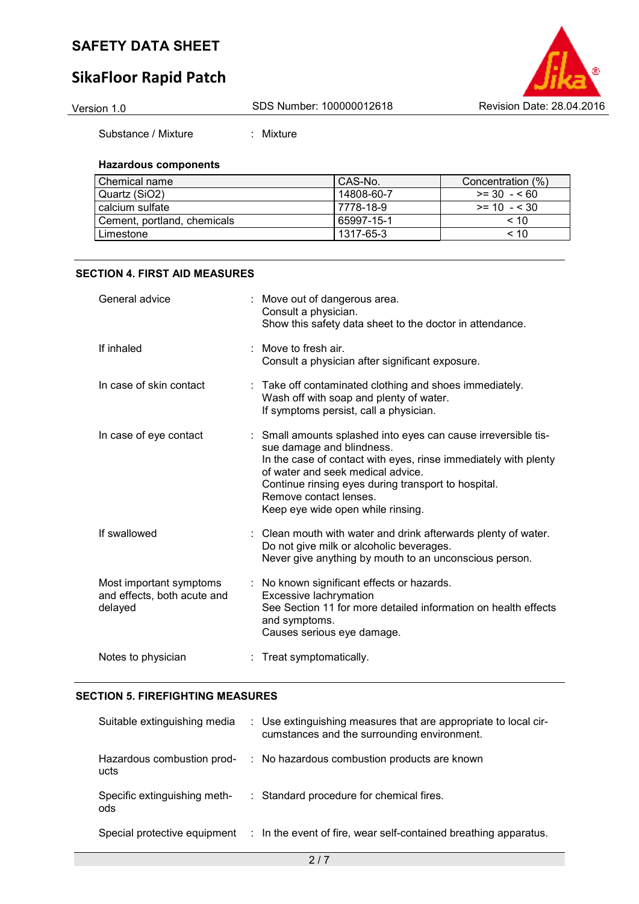## **SikaFloor Rapid Patch**



Substance / Mixture : Mixture

#### **Hazardous components**

| l Chemical name             | l CAS-No.  | Concentration (%) |
|-----------------------------|------------|-------------------|
| Quartz (SiO2)               | 14808-60-7 | $>= 30 - 60$      |
| calcium sulfate             | 7778-18-9  | $>= 10 - 530$     |
| Cement, portland, chemicals | 65997-15-1 | < 10              |
| Limestone                   | 1317-65-3  | $~<$ 10           |

#### **SECTION 4. FIRST AID MEASURES**

| General advice                                                    | : Move out of dangerous area.<br>Consult a physician.<br>Show this safety data sheet to the doctor in attendance.                                                                                                                                                                                                         |
|-------------------------------------------------------------------|---------------------------------------------------------------------------------------------------------------------------------------------------------------------------------------------------------------------------------------------------------------------------------------------------------------------------|
| If inhaled                                                        | : Move to fresh air.<br>Consult a physician after significant exposure.                                                                                                                                                                                                                                                   |
| In case of skin contact                                           | : Take off contaminated clothing and shoes immediately.<br>Wash off with soap and plenty of water.<br>If symptoms persist, call a physician.                                                                                                                                                                              |
| In case of eye contact                                            | : Small amounts splashed into eyes can cause irreversible tis-<br>sue damage and blindness.<br>In the case of contact with eyes, rinse immediately with plenty<br>of water and seek medical advice.<br>Continue rinsing eyes during transport to hospital.<br>Remove contact lenses.<br>Keep eye wide open while rinsing. |
| If swallowed                                                      | : Clean mouth with water and drink afterwards plenty of water.<br>Do not give milk or alcoholic beverages.<br>Never give anything by mouth to an unconscious person.                                                                                                                                                      |
| Most important symptoms<br>and effects, both acute and<br>delayed | : No known significant effects or hazards.<br>Excessive lachrymation<br>See Section 11 for more detailed information on health effects<br>and symptoms.<br>Causes serious eye damage.                                                                                                                                     |
| Notes to physician                                                | : Treat symptomatically.                                                                                                                                                                                                                                                                                                  |

#### **SECTION 5. FIREFIGHTING MEASURES**

| Suitable extinguishing media        | : Use extinguishing measures that are appropriate to local cir-<br>cumstances and the surrounding environment. |
|-------------------------------------|----------------------------------------------------------------------------------------------------------------|
| Hazardous combustion prod-<br>ucts  | : No hazardous combustion products are known                                                                   |
| Specific extinguishing meth-<br>ods | : Standard procedure for chemical fires.                                                                       |
| Special protective equipment        | : In the event of fire, wear self-contained breathing apparatus.                                               |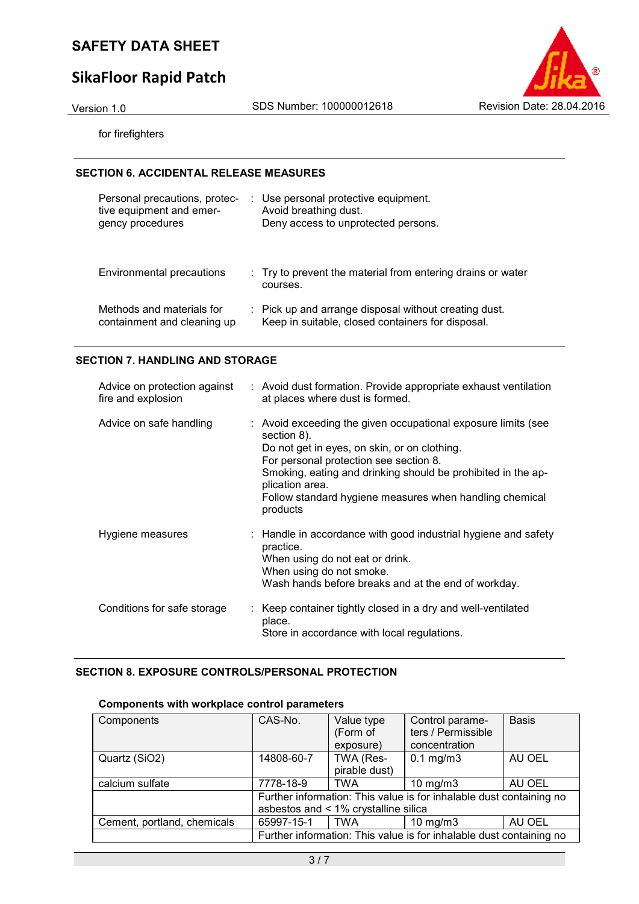## **SikaFloor Rapid Patch**

Version 1.0 SDS Number: 100000012618 Revision Date: 28.04.2016

for firefighters

#### **SECTION 6. ACCIDENTAL RELEASE MEASURES**

| Personal precautions, protec-<br>tive equipment and emer-<br>gency procedures | : Use personal protective equipment.<br>Avoid breathing dust.<br>Deny access to unprotected persons.       |
|-------------------------------------------------------------------------------|------------------------------------------------------------------------------------------------------------|
| Environmental precautions                                                     | : Try to prevent the material from entering drains or water<br>courses.                                    |
| Methods and materials for<br>containment and cleaning up                      | : Pick up and arrange disposal without creating dust.<br>Keep in suitable, closed containers for disposal. |

#### **SECTION 7. HANDLING AND STORAGE**

| Advice on protection against<br>fire and explosion | : Avoid dust formation. Provide appropriate exhaust ventilation<br>at places where dust is formed.                                                                                                                                                                                                                               |
|----------------------------------------------------|----------------------------------------------------------------------------------------------------------------------------------------------------------------------------------------------------------------------------------------------------------------------------------------------------------------------------------|
| Advice on safe handling                            | : Avoid exceeding the given occupational exposure limits (see<br>section 8).<br>Do not get in eyes, on skin, or on clothing.<br>For personal protection see section 8.<br>Smoking, eating and drinking should be prohibited in the ap-<br>plication area.<br>Follow standard hygiene measures when handling chemical<br>products |
| Hygiene measures                                   | : Handle in accordance with good industrial hygiene and safety<br>practice.<br>When using do not eat or drink.<br>When using do not smoke.<br>Wash hands before breaks and at the end of workday.                                                                                                                                |
| Conditions for safe storage                        | Keep container tightly closed in a dry and well-ventilated<br>place.<br>Store in accordance with local regulations.                                                                                                                                                                                                              |

#### **SECTION 8. EXPOSURE CONTROLS/PERSONAL PROTECTION**

# **Components with workplace control parameters**

| Components                  | CAS-No.                                                                                                     | Value type<br>(Form of     | Control parame-<br>ters / Permissible                               | <b>Basis</b> |
|-----------------------------|-------------------------------------------------------------------------------------------------------------|----------------------------|---------------------------------------------------------------------|--------------|
|                             |                                                                                                             | exposure)                  | concentration                                                       |              |
| Quartz (SiO2)               | 14808-60-7                                                                                                  | TWA (Res-<br>pirable dust) | $0.1$ mg/m $3$                                                      | AU OEL       |
|                             |                                                                                                             |                            |                                                                     |              |
| calcium sulfate             | 7778-18-9                                                                                                   | <b>TWA</b>                 | $10$ mg/m $3$                                                       | AU OEL       |
|                             | Further information: This value is for inhalable dust containing no<br>asbestos and < 1% crystalline silica |                            |                                                                     |              |
|                             |                                                                                                             |                            |                                                                     |              |
| Cement, portland, chemicals | 65997-15-1                                                                                                  | TWA                        | $10$ mg/m $3$                                                       | AU OEL       |
|                             |                                                                                                             |                            | Further information: This value is for inhalable dust containing no |              |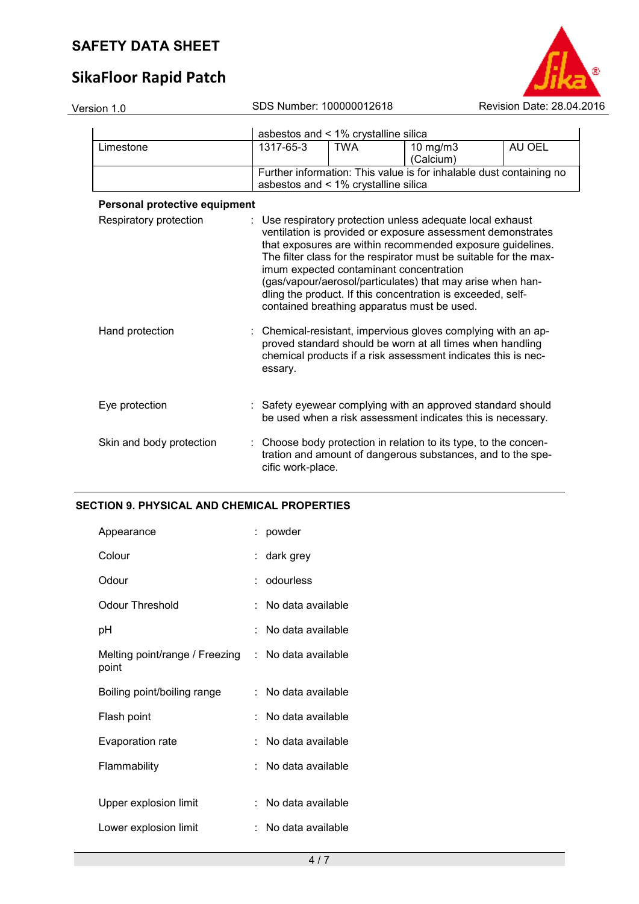## **SikaFloor Rapid Patch**



| Version 1.0                   |                   | SDS Number: 100000012618             |                                                                                                                                                                                                                                                                                                                                                                                                                                                                                     | Revision Date: 28.04.2016 |
|-------------------------------|-------------------|--------------------------------------|-------------------------------------------------------------------------------------------------------------------------------------------------------------------------------------------------------------------------------------------------------------------------------------------------------------------------------------------------------------------------------------------------------------------------------------------------------------------------------------|---------------------------|
|                               |                   | asbestos and < 1% crystalline silica |                                                                                                                                                                                                                                                                                                                                                                                                                                                                                     |                           |
| Limestone                     | 1317-65-3         | <b>TWA</b>                           | 10 mg/m3<br>(Calcium)                                                                                                                                                                                                                                                                                                                                                                                                                                                               | AU OEL                    |
|                               |                   | asbestos and < 1% crystalline silica | Further information: This value is for inhalable dust containing no                                                                                                                                                                                                                                                                                                                                                                                                                 |                           |
| Personal protective equipment |                   |                                      |                                                                                                                                                                                                                                                                                                                                                                                                                                                                                     |                           |
| Respiratory protection        |                   |                                      | : Use respiratory protection unless adequate local exhaust<br>ventilation is provided or exposure assessment demonstrates<br>that exposures are within recommended exposure guidelines.<br>The filter class for the respirator must be suitable for the max-<br>imum expected contaminant concentration<br>(gas/vapour/aerosol/particulates) that may arise when han-<br>dling the product. If this concentration is exceeded, self-<br>contained breathing apparatus must be used. |                           |
| Hand protection               | essary.           |                                      | Chemical-resistant, impervious gloves complying with an ap-<br>proved standard should be worn at all times when handling<br>chemical products if a risk assessment indicates this is nec-                                                                                                                                                                                                                                                                                           |                           |
| Eye protection                |                   |                                      | : Safety eyewear complying with an approved standard should<br>be used when a risk assessment indicates this is necessary.                                                                                                                                                                                                                                                                                                                                                          |                           |
| Skin and body protection      | cific work-place. |                                      | Choose body protection in relation to its type, to the concen-<br>tration and amount of dangerous substances, and to the spe-                                                                                                                                                                                                                                                                                                                                                       |                           |
|                               |                   |                                      |                                                                                                                                                                                                                                                                                                                                                                                                                                                                                     |                           |

#### **SECTION 9. PHYSICAL AND CHEMICAL PROPERTIES**

| Appearance                              | : powder              |
|-----------------------------------------|-----------------------|
| Colour                                  | : dark grey           |
| Odour                                   | : odourless           |
| Odour Threshold                         | No data available     |
| рH                                      | No data available     |
| Melting point/range / Freezing<br>point | : No data available   |
| Boiling point/boiling range             | :   No data available |
| Flash point                             | No data available     |
| Evaporation rate                        | No data available     |
| Flammability                            | No data available     |
|                                         |                       |
| Upper explosion limit                   | No data available     |
| Lower explosion limit                   | No data available     |
|                                         |                       |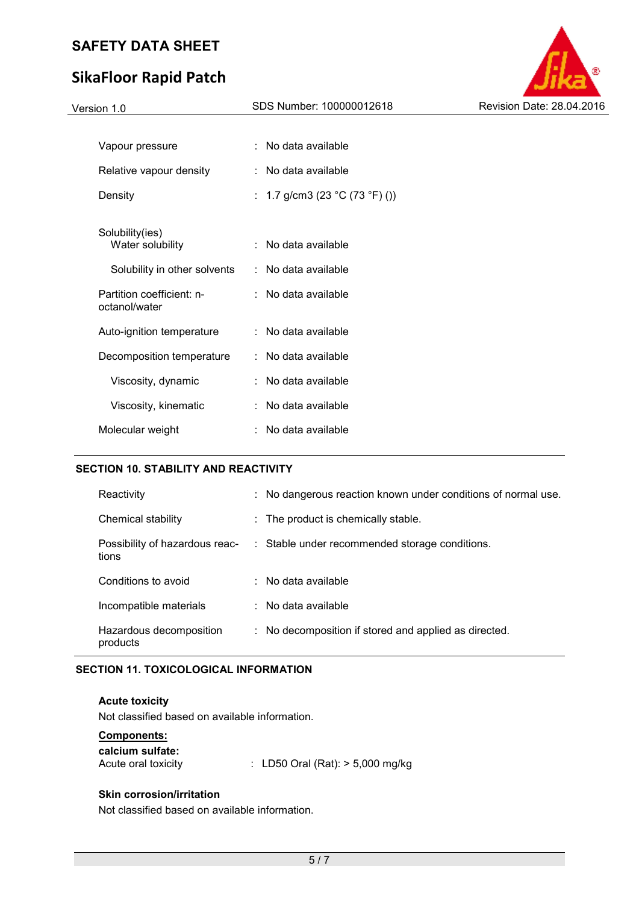## **SikaFloor Rapid Patch**



| Vapour pressure                            | No data available              |
|--------------------------------------------|--------------------------------|
| Relative vapour density                    | No data available              |
| Density                                    | : 1.7 g/cm3 (23 °C (73 °F) ()) |
|                                            |                                |
| Solubility(ies)<br>Water solubility        | No data available              |
| Solubility in other solvents               | $:$ No data available          |
| Partition coefficient: n-<br>octanol/water | : No data available            |
| Auto-ignition temperature                  | : No data available            |
| Decomposition temperature                  | $\therefore$ No data available |
| Viscosity, dynamic                         | No data available              |
| Viscosity, kinematic                       | No data available              |
| Molecular weight                           | : No data available            |

#### **SECTION 10. STABILITY AND REACTIVITY**

| Reactivity                              | : No dangerous reaction known under conditions of normal use. |
|-----------------------------------------|---------------------------------------------------------------|
| Chemical stability                      | : The product is chemically stable.                           |
| Possibility of hazardous reac-<br>tions | : Stable under recommended storage conditions.                |
| Conditions to avoid                     | $\therefore$ No data available                                |
| Incompatible materials                  | $\therefore$ No data available                                |
| Hazardous decomposition<br>products     | : No decomposition if stored and applied as directed.         |

#### **SECTION 11. TOXICOLOGICAL INFORMATION**

**Acute toxicity**  Not classified based on available information.

| : LD50 Oral (Rat): $> 5,000$ mg/kg |
|------------------------------------|
|                                    |

#### **Skin corrosion/irritation**

Not classified based on available information.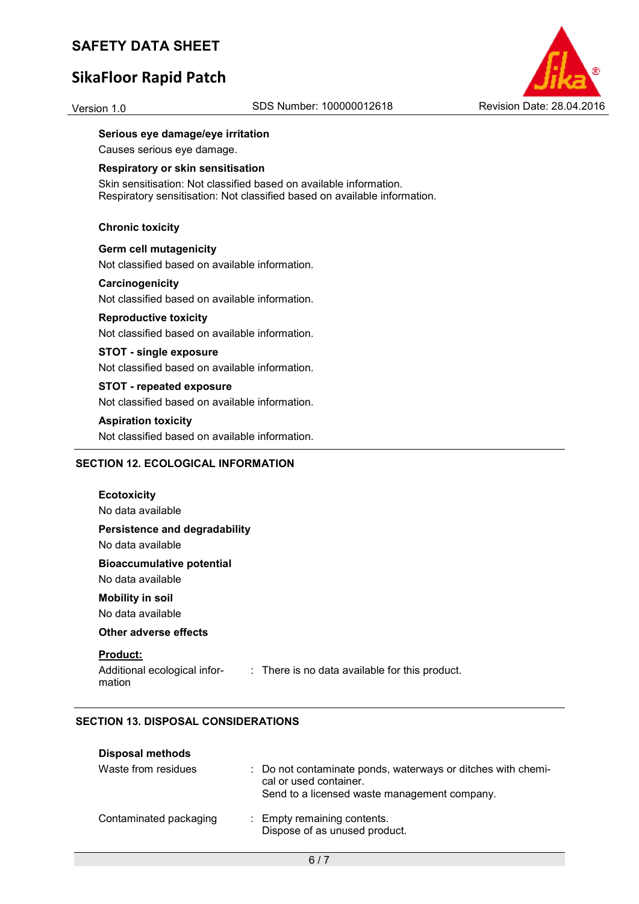## **SikaFloor Rapid Patch**



#### **Serious eye damage/eye irritation**

Causes serious eye damage.

#### **Respiratory or skin sensitisation**

Skin sensitisation: Not classified based on available information. Respiratory sensitisation: Not classified based on available information.

#### **Chronic toxicity**

**Germ cell mutagenicity**  Not classified based on available information.

#### **Carcinogenicity**

Not classified based on available information.

#### **Reproductive toxicity**

Not classified based on available information.

#### **STOT - single exposure**

Not classified based on available information.

## **STOT - repeated exposure**

Not classified based on available information.

#### **Aspiration toxicity**

Not classified based on available information.

#### **SECTION 12. ECOLOGICAL INFORMATION**

| <b>Ecotoxicity</b><br>No data available               |                                                |
|-------------------------------------------------------|------------------------------------------------|
| Persistence and degradability<br>No data available    |                                                |
| <b>Bioaccumulative potential</b><br>No data available |                                                |
| <b>Mobility in soil</b><br>No data available          |                                                |
| Other adverse effects                                 |                                                |
| <b>Product:</b><br>Additional ecological infor-       | : There is no data available for this product. |

mation

: There is no data available for this product.

#### **SECTION 13. DISPOSAL CONSIDERATIONS**

#### **Disposal methods**

| Waste from residues    | : Do not contaminate ponds, waterways or ditches with chemi-<br>cal or used container.<br>Send to a licensed waste management company. |
|------------------------|----------------------------------------------------------------------------------------------------------------------------------------|
| Contaminated packaging | : Empty remaining contents.<br>Dispose of as unused product.                                                                           |